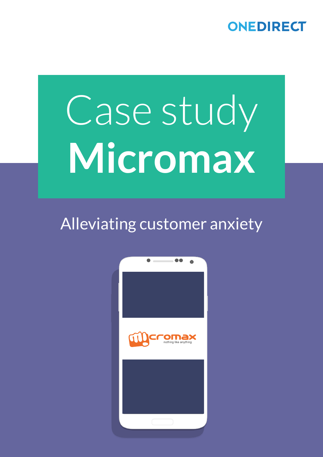## ONEDIRECT

# Case study **Micromax**

## Alleviating customer anxiety

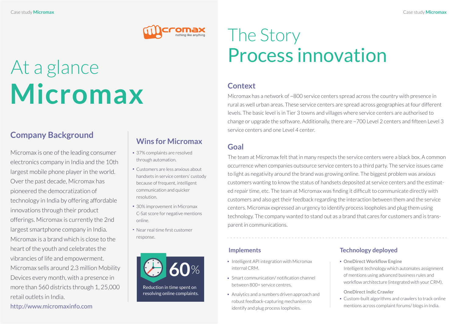## At a glance **Micromax**

## **Company Background**



## The Story Process innovation

Micromax is one of the leading consumer electronics company in India and the 10th largest mobile phone player in the world. Over the past decade, Micromax has pioneered the democratization of technology in India by offering affordable innovations through their product offerings. Micromax is currently the 2nd largest smartphone company in India. Micromax is a brand which is close to the heart of the youth and celebrates the vibrancies of life and empowerment. Micromax sells around 2.3 million Mobility Devices every month, with a presence in more than 560 districts through 1, 25,000 retail outlets in India.

http://www.micromaxinfo.com

### **Context**

Micromax has a network of ~800 service centers spread across the country with presence in rural as well urban areas. These service centers are spread across geographies at four different levels. The basic level is in Tier 3 towns and villages where service centers are authorised to change or upgrade the software. Additionally, there are ~700 Level 2 centers and fifteen Level 3 service centers and one Level 4 center.

- 37% complaints are resolved through automation.
- Customers are less anxious about handsets in service centers' custody because of frequent, intelligent communication and quicker resolution.
- 30% improvement in Micromax C-Sat score for negative mentions online.
- Near real time first customer response.

### **Goal**

### **Implements Technology deployed**

- $\blacksquare$  Intelligent API integration with Micromax internal CRM.
- Smart communication/ notification channel between 800+ service centres.
- Analytics and a numbers driven approach and robust feedback-capturing mechanism to identify and plug process loopholes.

The team at Micromax felt that in many respects the service centers were a black box. A common occurrence when companies outsource service centers to a third party. The service issues came to light as negativity around the brand was growing online. The biggest problem was anxious customers wanting to know the status of handsets deposited at service centers and the estimated repair time, etc. The team at Micromax was finding it difficult to communicate directly with customers and also get their feedback regarding the interaction between them and the service centers. Micromax expressed an urgency to identify process loopholes and plug them using technology. The company wanted to stand out as a brand that cares for customers and is transparent in communications.

Reduction in time spent on resolving online complaints.



- **OneDirect Workflow Engine**
- Intelligent technology which automates assignment of mentions using advanced business rules and
- workflow architecture (integrated with your CRM).
- **OneDirect Indic Crawler**
- Custom-built algorithms and crawlers to track online mentions across complaint forums/ blogs in India.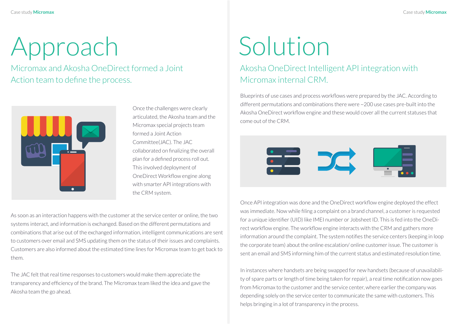# Approach

Micromax and Akosha OneDirect formed a Joint Action team to define the process.



## Solution

Akosha OneDirect Intelligent API integration with Micromax internal CRM.

Once the challenges were clearly articulated, the Akosha team and the Micromax special projects team formed a Joint Action Committee(JAC). The JAC collaborated on finalizing the overall plan for a defined process roll out. This involved deployment of OneDirect Workflow engine along with smarter API integrations with the CRM system.

Blueprints of use cases and process workflows were prepared by the JAC. According to different permutations and combinations there were ~200 use cases pre-built into the Akosha OneDirect workflow engine and these would cover all the current statuses that come out of the CRM.



Once API integration was done and the OneDirect workflow engine deployed the effect was immediate. Now while filing a complaint on a brand channel, a customer is requested for a unique identifier (UID) like IMEI number or Jobsheet ID. This is fed into the OneDirect workflow engine. The workflow engine interacts with the CRM and gathers more information around the complaint. The system notifies the service centers (keeping in loop the corporate team) about the online escalation/ online customer issue. The customer is sent an email and SMS informing him of the current status and estimated resolution time.

In instances where handsets are being swapped for new handsets (because of unavailability of spare parts or length of time being taken for repair), a real time notification now goes from Micromax to the customer and the service center, where earlier the company was depending solely on the service center to communicate the same with customers. This helps bringing in a lot of transparency in the process.

As soon as an interaction happens with the customer at the service center or online, the two systems interact, and information is exchanged. Based on the different permutations and combinations that arise out of the exchanged information, intelligent communications are sent to customers over email and SMS updating them on the status of their issues and complaints. Customers are also informed about the estimated time lines for Micromax team to get back to them.

The JAC felt that real time responses to customers would make them appreciate the transparency and efficiency of the brand. The Micromax team liked the idea and gave the Akosha team the go ahead.